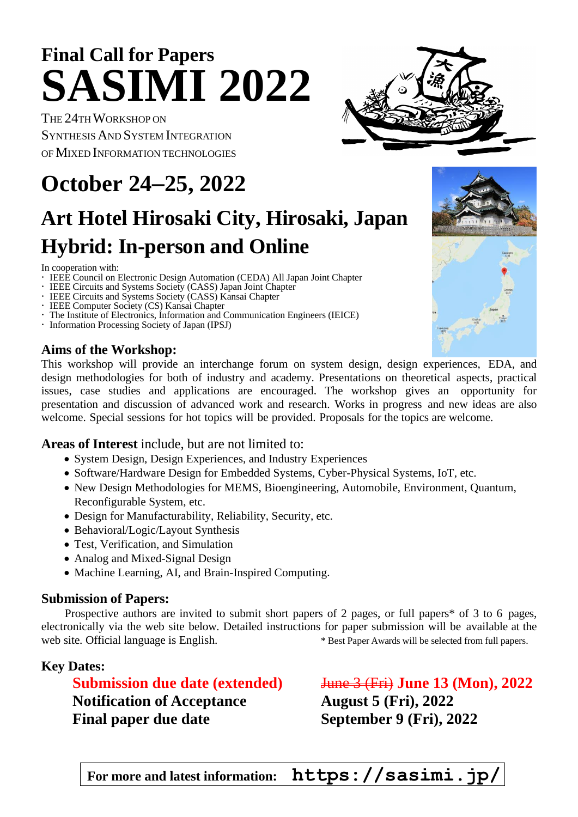# **Final Call for Papers SASIMI 2022**

THE 24THWORKSHOP ON SYNTHESISAND SYSTEM INTEGRATION OF MIXED INFORMATION TECHNOLOGIES

# **October 24**−**25, 2022**

# **Art Hotel Hirosaki City, Hirosaki, Japan Hybrid: In-person and Online**

In cooperation with:

- **IEEE Council on Electronic Design Automation (CEDA) All Japan Joint Chapter**
- IEEE Circuits and Systems Society (CASS) Japan Joint Chapter
- IEEE Circuits and Systems Society (CASS) Kansai Chapter
- IEEE Computer Society (CS) Kansai Chapter
- The Institute of Electronics, Information and Communication Engineers (IEICE)
- Information Processing Society of Japan (IPSJ)

#### **Aims of the Workshop:**

This workshop will provide an interchange forum on system design, design experiences, EDA, and design methodologies for both of industry and academy. Presentations on theoretical aspects, practical issues, case studies and applications are encouraged. The workshop gives an opportunity for presentation and discussion of advanced work and research. Works in progress and new ideas are also welcome. Special sessions for hot topics will be provided. Proposals for the topics are welcome.

#### **Areas of Interest** include, but are not limited to:

- System Design, Design Experiences, and Industry Experiences
- Software/Hardware Design for Embedded Systems, Cyber-Physical Systems, IoT, etc.
- New Design Methodologies for MEMS, Bioengineering, Automobile, Environment, Quantum, Reconfigurable System, etc.
- Design for Manufacturability, Reliability, Security, etc.
- Behavioral/Logic/Layout Synthesis
- Test, Verification, and Simulation
- Analog and Mixed-Signal Design
- Machine Learning, AI, and Brain-Inspired Computing.

#### **Submission of Papers:**

Prospective authors are invited to submit short papers of 2 pages, or full papers<sup>\*</sup> of 3 to 6 pages, electronically via the web site below. Detailed instructions for paper submission will be available at the web site. Official language is English. \* Best Paper Awards will be selected from full papers.

#### **Key Dates:**

**Submission due date** (extended) June 3 (Fri) June 13 (Mon), 2022 **Notification of Acceptance August 5 (Fri), 2022 Final paper due date September 9 (Fri), 2022**

**For more and latest information: https://sasimi.jp/**